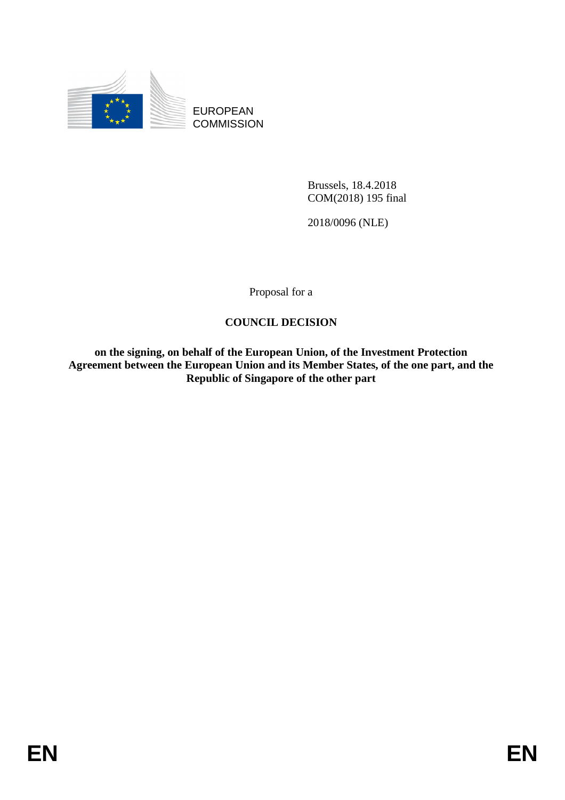

EUROPEAN **COMMISSION** 

> Brussels, 18.4.2018 COM(2018) 195 final

2018/0096 (NLE)

Proposal for a

## **COUNCIL DECISION**

**on the signing, on behalf of the European Union, of the Investment Protection Agreement between the European Union and its Member States, of the one part, and the Republic of Singapore of the other part**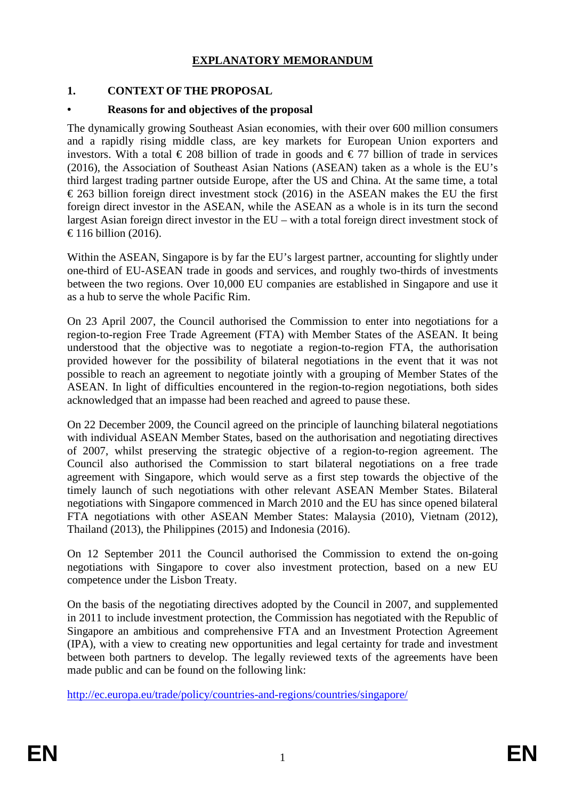## **EXPLANATORY MEMORANDUM**

### **1. CONTEXT OF THE PROPOSAL**

### **• Reasons for and objectives of the proposal**

The dynamically growing Southeast Asian economies, with their over 600 million consumers and a rapidly rising middle class, are key markets for European Union exporters and investors. With a total  $\epsilon$  208 billion of trade in goods and  $\epsilon$  77 billion of trade in services (2016), the Association of Southeast Asian Nations (ASEAN) taken as a whole is the EU's third largest trading partner outside Europe, after the US and China. At the same time, a total  $\epsilon$  263 billion foreign direct investment stock (2016) in the ASEAN makes the EU the first foreign direct investor in the ASEAN, while the ASEAN as a whole is in its turn the second largest Asian foreign direct investor in the EU – with a total foreign direct investment stock of € 116 billion (2016).

Within the ASEAN, Singapore is by far the EU's largest partner, accounting for slightly under one-third of EU-ASEAN trade in goods and services, and roughly two-thirds of investments between the two regions. Over 10,000 EU companies are established in Singapore and use it as a hub to serve the whole Pacific Rim.

On 23 April 2007, the Council authorised the Commission to enter into negotiations for a region-to-region Free Trade Agreement (FTA) with Member States of the ASEAN. It being understood that the objective was to negotiate a region-to-region FTA, the authorisation provided however for the possibility of bilateral negotiations in the event that it was not possible to reach an agreement to negotiate jointly with a grouping of Member States of the ASEAN. In light of difficulties encountered in the region-to-region negotiations, both sides acknowledged that an impasse had been reached and agreed to pause these.

On 22 December 2009, the Council agreed on the principle of launching bilateral negotiations with individual ASEAN Member States, based on the authorisation and negotiating directives of 2007, whilst preserving the strategic objective of a region-to-region agreement. The Council also authorised the Commission to start bilateral negotiations on a free trade agreement with Singapore, which would serve as a first step towards the objective of the timely launch of such negotiations with other relevant ASEAN Member States. Bilateral negotiations with Singapore commenced in March 2010 and the EU has since opened bilateral FTA negotiations with other ASEAN Member States: Malaysia (2010), Vietnam (2012), Thailand (2013), the Philippines (2015) and Indonesia (2016).

On 12 September 2011 the Council authorised the Commission to extend the on-going negotiations with Singapore to cover also investment protection, based on a new EU competence under the Lisbon Treaty.

On the basis of the negotiating directives adopted by the Council in 2007, and supplemented in 2011 to include investment protection, the Commission has negotiated with the Republic of Singapore an ambitious and comprehensive FTA and an Investment Protection Agreement (IPA), with a view to creating new opportunities and legal certainty for trade and investment between both partners to develop. The legally reviewed texts of the agreements have been made public and can be found on the following link:

http://ec.europa.eu/trade/policy/countries-and-regions/countries/singapore/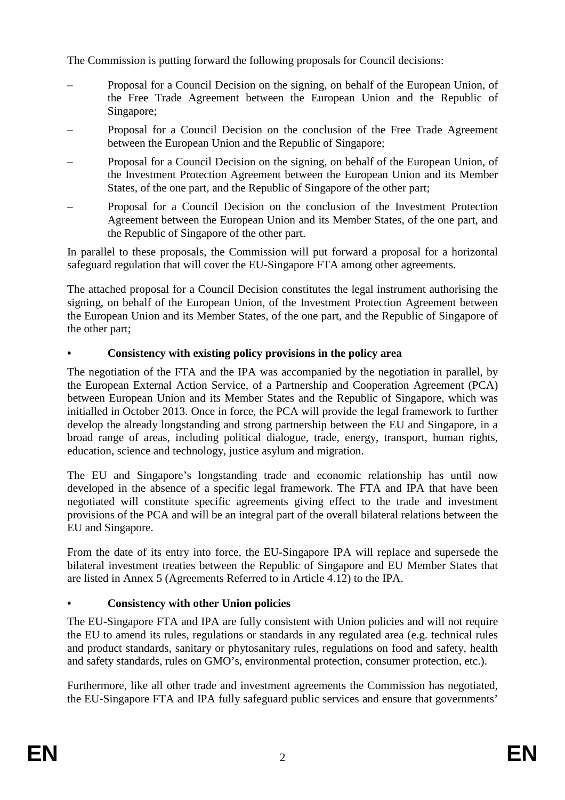The Commission is putting forward the following proposals for Council decisions:

- Proposal for a Council Decision on the signing, on behalf of the European Union, of the Free Trade Agreement between the European Union and the Republic of Singapore;
- Proposal for a Council Decision on the conclusion of the Free Trade Agreement between the European Union and the Republic of Singapore;
- Proposal for a Council Decision on the signing, on behalf of the European Union, of the Investment Protection Agreement between the European Union and its Member States, of the one part, and the Republic of Singapore of the other part;
- Proposal for a Council Decision on the conclusion of the Investment Protection Agreement between the European Union and its Member States, of the one part, and the Republic of Singapore of the other part.

In parallel to these proposals, the Commission will put forward a proposal for a horizontal safeguard regulation that will cover the EU-Singapore FTA among other agreements.

The attached proposal for a Council Decision constitutes the legal instrument authorising the signing, on behalf of the European Union, of the Investment Protection Agreement between the European Union and its Member States, of the one part, and the Republic of Singapore of the other part;

## **• Consistency with existing policy provisions in the policy area**

The negotiation of the FTA and the IPA was accompanied by the negotiation in parallel, by the European External Action Service, of a Partnership and Cooperation Agreement (PCA) between European Union and its Member States and the Republic of Singapore, which was initialled in October 2013. Once in force, the PCA will provide the legal framework to further develop the already longstanding and strong partnership between the EU and Singapore, in a broad range of areas, including political dialogue, trade, energy, transport, human rights, education, science and technology, justice asylum and migration.

The EU and Singapore's longstanding trade and economic relationship has until now developed in the absence of a specific legal framework. The FTA and IPA that have been negotiated will constitute specific agreements giving effect to the trade and investment provisions of the PCA and will be an integral part of the overall bilateral relations between the EU and Singapore.

From the date of its entry into force, the EU-Singapore IPA will replace and supersede the bilateral investment treaties between the Republic of Singapore and EU Member States that are listed in Annex 5 (Agreements Referred to in Article 4.12) to the IPA.

# **• Consistency with other Union policies**

The EU-Singapore FTA and IPA are fully consistent with Union policies and will not require the EU to amend its rules, regulations or standards in any regulated area (e.g. technical rules and product standards, sanitary or phytosanitary rules, regulations on food and safety, health and safety standards, rules on GMO's, environmental protection, consumer protection, etc.).

Furthermore, like all other trade and investment agreements the Commission has negotiated, the EU-Singapore FTA and IPA fully safeguard public services and ensure that governments'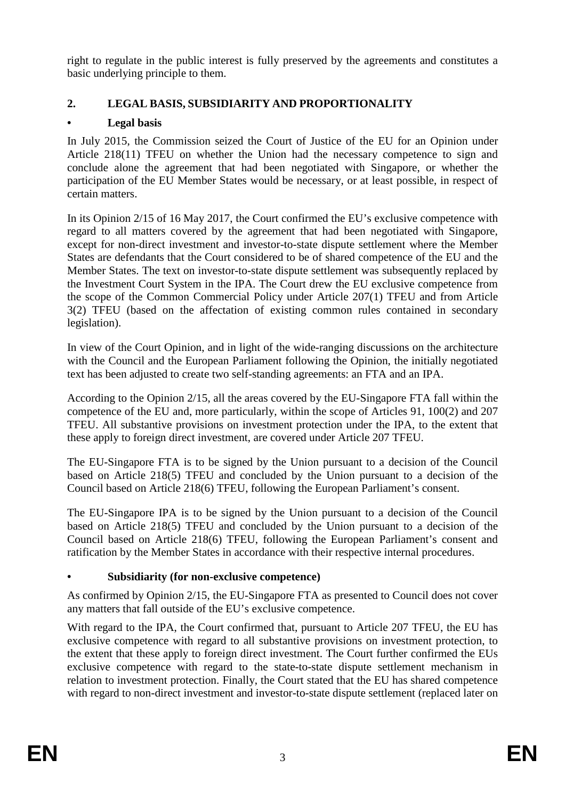right to regulate in the public interest is fully preserved by the agreements and constitutes a basic underlying principle to them.

## **2. LEGAL BASIS, SUBSIDIARITY AND PROPORTIONALITY**

## **• Legal basis**

In July 2015, the Commission seized the Court of Justice of the EU for an Opinion under Article 218(11) TFEU on whether the Union had the necessary competence to sign and conclude alone the agreement that had been negotiated with Singapore, or whether the participation of the EU Member States would be necessary, or at least possible, in respect of certain matters.

In its Opinion 2/15 of 16 May 2017, the Court confirmed the EU's exclusive competence with regard to all matters covered by the agreement that had been negotiated with Singapore, except for non-direct investment and investor-to-state dispute settlement where the Member States are defendants that the Court considered to be of shared competence of the EU and the Member States. The text on investor-to-state dispute settlement was subsequently replaced by the Investment Court System in the IPA. The Court drew the EU exclusive competence from the scope of the Common Commercial Policy under Article 207(1) TFEU and from Article 3(2) TFEU (based on the affectation of existing common rules contained in secondary legislation).

In view of the Court Opinion, and in light of the wide-ranging discussions on the architecture with the Council and the European Parliament following the Opinion, the initially negotiated text has been adjusted to create two self-standing agreements: an FTA and an IPA.

According to the Opinion 2/15, all the areas covered by the EU-Singapore FTA fall within the competence of the EU and, more particularly, within the scope of Articles 91, 100(2) and 207 TFEU. All substantive provisions on investment protection under the IPA, to the extent that these apply to foreign direct investment, are covered under Article 207 TFEU.

The EU-Singapore FTA is to be signed by the Union pursuant to a decision of the Council based on Article 218(5) TFEU and concluded by the Union pursuant to a decision of the Council based on Article 218(6) TFEU, following the European Parliament's consent.

The EU-Singapore IPA is to be signed by the Union pursuant to a decision of the Council based on Article 218(5) TFEU and concluded by the Union pursuant to a decision of the Council based on Article 218(6) TFEU, following the European Parliament's consent and ratification by the Member States in accordance with their respective internal procedures.

### **• Subsidiarity (for non-exclusive competence)**

As confirmed by Opinion 2/15, the EU-Singapore FTA as presented to Council does not cover any matters that fall outside of the EU's exclusive competence.

With regard to the IPA, the Court confirmed that, pursuant to Article 207 TFEU, the EU has exclusive competence with regard to all substantive provisions on investment protection, to the extent that these apply to foreign direct investment. The Court further confirmed the EUs exclusive competence with regard to the state-to-state dispute settlement mechanism in relation to investment protection. Finally, the Court stated that the EU has shared competence with regard to non-direct investment and investor-to-state dispute settlement (replaced later on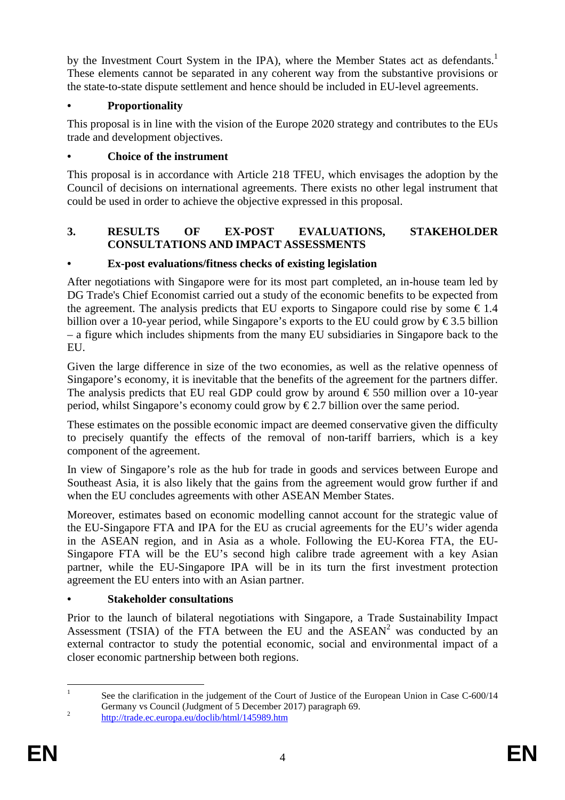by the Investment Court System in the IPA), where the Member States act as defendants.<sup>1</sup> These elements cannot be separated in any coherent way from the substantive provisions or the state-to-state dispute settlement and hence should be included in EU-level agreements.

## **• Proportionality**

This proposal is in line with the vision of the Europe 2020 strategy and contributes to the EUs trade and development objectives.

## **• Choice of the instrument**

This proposal is in accordance with Article 218 TFEU, which envisages the adoption by the Council of decisions on international agreements. There exists no other legal instrument that could be used in order to achieve the objective expressed in this proposal.

## **3. RESULTS OF EX-POST EVALUATIONS, STAKEHOLDER CONSULTATIONS AND IMPACT ASSESSMENTS**

## **• Ex-post evaluations/fitness checks of existing legislation**

After negotiations with Singapore were for its most part completed, an in-house team led by DG Trade's Chief Economist carried out a study of the economic benefits to be expected from the agreement. The analysis predicts that EU exports to Singapore could rise by some  $\epsilon$  1.4 billion over a 10-year period, while Singapore's exports to the EU could grow by  $\epsilon$  3.5 billion – a figure which includes shipments from the many EU subsidiaries in Singapore back to the EU.

Given the large difference in size of the two economies, as well as the relative openness of Singapore's economy, it is inevitable that the benefits of the agreement for the partners differ. The analysis predicts that EU real GDP could grow by around  $\epsilon$  550 million over a 10-year period, whilst Singapore's economy could grow by  $\epsilon$ 2.7 billion over the same period.

These estimates on the possible economic impact are deemed conservative given the difficulty to precisely quantify the effects of the removal of non-tariff barriers, which is a key component of the agreement.

In view of Singapore's role as the hub for trade in goods and services between Europe and Southeast Asia, it is also likely that the gains from the agreement would grow further if and when the EU concludes agreements with other ASEAN Member States.

Moreover, estimates based on economic modelling cannot account for the strategic value of the EU-Singapore FTA and IPA for the EU as crucial agreements for the EU's wider agenda in the ASEAN region, and in Asia as a whole. Following the EU-Korea FTA, the EU-Singapore FTA will be the EU's second high calibre trade agreement with a key Asian partner, while the EU-Singapore IPA will be in its turn the first investment protection agreement the EU enters into with an Asian partner.

# **• Stakeholder consultations**

Prior to the launch of bilateral negotiations with Singapore, a Trade Sustainability Impact Assessment (TSIA) of the FTA between the EU and the  $ASEAN<sup>2</sup>$  was conducted by an external contractor to study the potential economic, social and environmental impact of a closer economic partnership between both regions.

 $\frac{1}{1}$  See the clarification in the judgement of the Court of Justice of the European Union in Case C-600/14 Germany vs Council (Judgment of 5 December 2017) paragraph 69.

 $\overline{2}$ http://trade.ec.europa.eu/doclib/html/145989.htm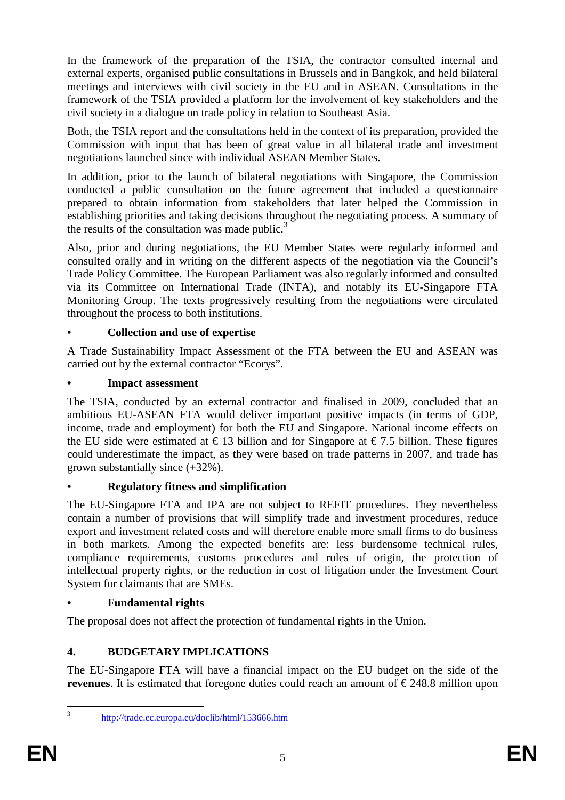In the framework of the preparation of the TSIA, the contractor consulted internal and external experts, organised public consultations in Brussels and in Bangkok, and held bilateral meetings and interviews with civil society in the EU and in ASEAN. Consultations in the framework of the TSIA provided a platform for the involvement of key stakeholders and the civil society in a dialogue on trade policy in relation to Southeast Asia.

Both, the TSIA report and the consultations held in the context of its preparation, provided the Commission with input that has been of great value in all bilateral trade and investment negotiations launched since with individual ASEAN Member States.

In addition, prior to the launch of bilateral negotiations with Singapore, the Commission conducted a public consultation on the future agreement that included a questionnaire prepared to obtain information from stakeholders that later helped the Commission in establishing priorities and taking decisions throughout the negotiating process. A summary of the results of the consultation was made public. $3$ 

Also, prior and during negotiations, the EU Member States were regularly informed and consulted orally and in writing on the different aspects of the negotiation via the Council's Trade Policy Committee. The European Parliament was also regularly informed and consulted via its Committee on International Trade (INTA), and notably its EU-Singapore FTA Monitoring Group. The texts progressively resulting from the negotiations were circulated throughout the process to both institutions.

## **• Collection and use of expertise**

A Trade Sustainability Impact Assessment of the FTA between the EU and ASEAN was carried out by the external contractor "Ecorys".

### **• Impact assessment**

The TSIA, conducted by an external contractor and finalised in 2009, concluded that an ambitious EU-ASEAN FTA would deliver important positive impacts (in terms of GDP, income, trade and employment) for both the EU and Singapore. National income effects on the EU side were estimated at  $\epsilon$  13 billion and for Singapore at  $\epsilon$  7.5 billion. These figures could underestimate the impact, as they were based on trade patterns in 2007, and trade has grown substantially since (+32%).

# **• Regulatory fitness and simplification**

The EU-Singapore FTA and IPA are not subject to REFIT procedures. They nevertheless contain a number of provisions that will simplify trade and investment procedures, reduce export and investment related costs and will therefore enable more small firms to do business in both markets. Among the expected benefits are: less burdensome technical rules, compliance requirements, customs procedures and rules of origin, the protection of intellectual property rights, or the reduction in cost of litigation under the Investment Court System for claimants that are SMEs.

# **• Fundamental rights**

The proposal does not affect the protection of fundamental rights in the Union.

# **4. BUDGETARY IMPLICATIONS**

The EU-Singapore FTA will have a financial impact on the EU budget on the side of the **revenues**. It is estimated that foregone duties could reach an amount of  $\epsilon$  248.8 million upon

 3

http://trade.ec.europa.eu/doclib/html/153666.htm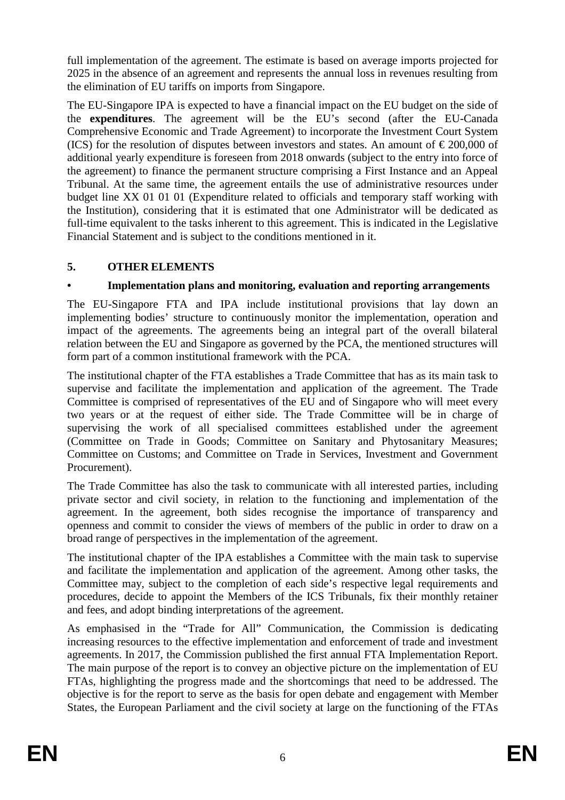full implementation of the agreement. The estimate is based on average imports projected for 2025 in the absence of an agreement and represents the annual loss in revenues resulting from the elimination of EU tariffs on imports from Singapore.

The EU-Singapore IPA is expected to have a financial impact on the EU budget on the side of the **expenditures**. The agreement will be the EU's second (after the EU-Canada Comprehensive Economic and Trade Agreement) to incorporate the Investment Court System (ICS) for the resolution of disputes between investors and states. An amount of  $\epsilon$  200,000 of additional yearly expenditure is foreseen from 2018 onwards (subject to the entry into force of the agreement) to finance the permanent structure comprising a First Instance and an Appeal Tribunal. At the same time, the agreement entails the use of administrative resources under budget line XX 01 01 01 (Expenditure related to officials and temporary staff working with the Institution), considering that it is estimated that one Administrator will be dedicated as full-time equivalent to the tasks inherent to this agreement. This is indicated in the Legislative Financial Statement and is subject to the conditions mentioned in it.

## **5. OTHER ELEMENTS**

## **• Implementation plans and monitoring, evaluation and reporting arrangements**

The EU-Singapore FTA and IPA include institutional provisions that lay down an implementing bodies' structure to continuously monitor the implementation, operation and impact of the agreements. The agreements being an integral part of the overall bilateral relation between the EU and Singapore as governed by the PCA, the mentioned structures will form part of a common institutional framework with the PCA.

The institutional chapter of the FTA establishes a Trade Committee that has as its main task to supervise and facilitate the implementation and application of the agreement. The Trade Committee is comprised of representatives of the EU and of Singapore who will meet every two years or at the request of either side. The Trade Committee will be in charge of supervising the work of all specialised committees established under the agreement (Committee on Trade in Goods; Committee on Sanitary and Phytosanitary Measures; Committee on Customs; and Committee on Trade in Services, Investment and Government Procurement).

The Trade Committee has also the task to communicate with all interested parties, including private sector and civil society, in relation to the functioning and implementation of the agreement. In the agreement, both sides recognise the importance of transparency and openness and commit to consider the views of members of the public in order to draw on a broad range of perspectives in the implementation of the agreement.

The institutional chapter of the IPA establishes a Committee with the main task to supervise and facilitate the implementation and application of the agreement. Among other tasks, the Committee may, subject to the completion of each side's respective legal requirements and procedures, decide to appoint the Members of the ICS Tribunals, fix their monthly retainer and fees, and adopt binding interpretations of the agreement.

As emphasised in the "Trade for All" Communication, the Commission is dedicating increasing resources to the effective implementation and enforcement of trade and investment agreements. In 2017, the Commission published the first annual FTA Implementation Report. The main purpose of the report is to convey an objective picture on the implementation of EU FTAs, highlighting the progress made and the shortcomings that need to be addressed. The objective is for the report to serve as the basis for open debate and engagement with Member States, the European Parliament and the civil society at large on the functioning of the FTAs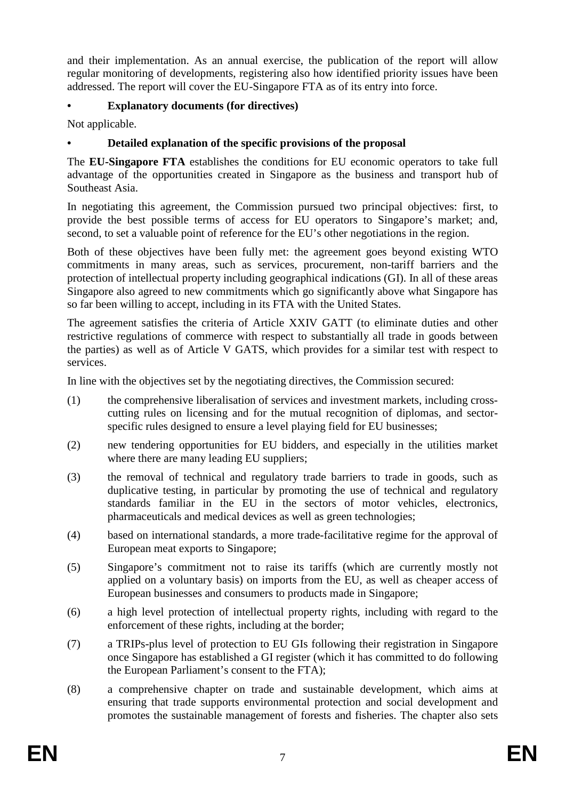and their implementation. As an annual exercise, the publication of the report will allow regular monitoring of developments, registering also how identified priority issues have been addressed. The report will cover the EU-Singapore FTA as of its entry into force.

## **• Explanatory documents (for directives)**

Not applicable.

## **• Detailed explanation of the specific provisions of the proposal**

The **EU-Singapore FTA** establishes the conditions for EU economic operators to take full advantage of the opportunities created in Singapore as the business and transport hub of Southeast Asia.

In negotiating this agreement, the Commission pursued two principal objectives: first, to provide the best possible terms of access for EU operators to Singapore's market; and, second, to set a valuable point of reference for the EU's other negotiations in the region.

Both of these objectives have been fully met: the agreement goes beyond existing WTO commitments in many areas, such as services, procurement, non-tariff barriers and the protection of intellectual property including geographical indications (GI). In all of these areas Singapore also agreed to new commitments which go significantly above what Singapore has so far been willing to accept, including in its FTA with the United States.

The agreement satisfies the criteria of Article XXIV GATT (to eliminate duties and other restrictive regulations of commerce with respect to substantially all trade in goods between the parties) as well as of Article V GATS, which provides for a similar test with respect to services.

In line with the objectives set by the negotiating directives, the Commission secured:

- (1) the comprehensive liberalisation of services and investment markets, including crosscutting rules on licensing and for the mutual recognition of diplomas, and sectorspecific rules designed to ensure a level playing field for EU businesses;
- (2) new tendering opportunities for EU bidders, and especially in the utilities market where there are many leading EU suppliers;
- (3) the removal of technical and regulatory trade barriers to trade in goods, such as duplicative testing, in particular by promoting the use of technical and regulatory standards familiar in the EU in the sectors of motor vehicles, electronics, pharmaceuticals and medical devices as well as green technologies;
- (4) based on international standards, a more trade-facilitative regime for the approval of European meat exports to Singapore;
- (5) Singapore's commitment not to raise its tariffs (which are currently mostly not applied on a voluntary basis) on imports from the EU, as well as cheaper access of European businesses and consumers to products made in Singapore;
- (6) a high level protection of intellectual property rights, including with regard to the enforcement of these rights, including at the border;
- (7) a TRIPs-plus level of protection to EU GIs following their registration in Singapore once Singapore has established a GI register (which it has committed to do following the European Parliament's consent to the FTA);
- (8) a comprehensive chapter on trade and sustainable development, which aims at ensuring that trade supports environmental protection and social development and promotes the sustainable management of forests and fisheries. The chapter also sets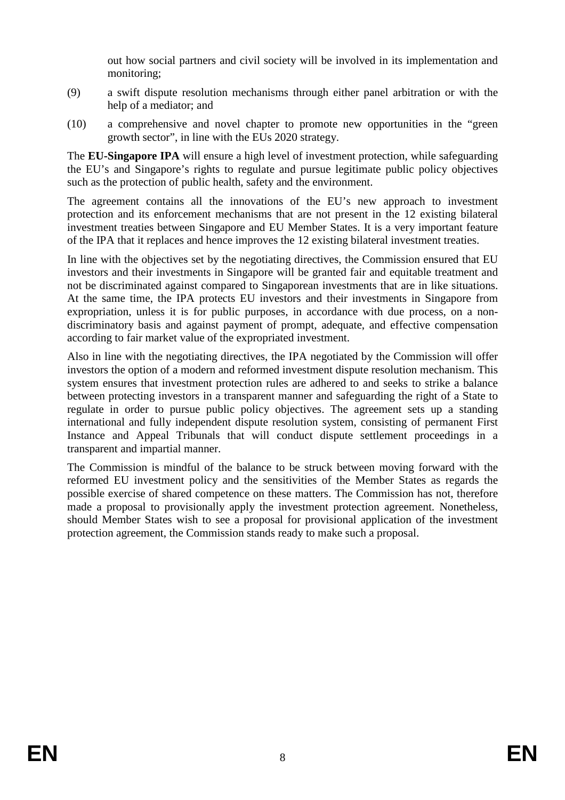out how social partners and civil society will be involved in its implementation and monitoring;

- (9) a swift dispute resolution mechanisms through either panel arbitration or with the help of a mediator; and
- (10) a comprehensive and novel chapter to promote new opportunities in the "green growth sector", in line with the EUs 2020 strategy.

The **EU-Singapore IPA** will ensure a high level of investment protection, while safeguarding the EU's and Singapore's rights to regulate and pursue legitimate public policy objectives such as the protection of public health, safety and the environment.

The agreement contains all the innovations of the EU's new approach to investment protection and its enforcement mechanisms that are not present in the 12 existing bilateral investment treaties between Singapore and EU Member States. It is a very important feature of the IPA that it replaces and hence improves the 12 existing bilateral investment treaties.

In line with the objectives set by the negotiating directives, the Commission ensured that EU investors and their investments in Singapore will be granted fair and equitable treatment and not be discriminated against compared to Singaporean investments that are in like situations. At the same time, the IPA protects EU investors and their investments in Singapore from expropriation, unless it is for public purposes, in accordance with due process, on a nondiscriminatory basis and against payment of prompt, adequate, and effective compensation according to fair market value of the expropriated investment.

Also in line with the negotiating directives, the IPA negotiated by the Commission will offer investors the option of a modern and reformed investment dispute resolution mechanism. This system ensures that investment protection rules are adhered to and seeks to strike a balance between protecting investors in a transparent manner and safeguarding the right of a State to regulate in order to pursue public policy objectives. The agreement sets up a standing international and fully independent dispute resolution system, consisting of permanent First Instance and Appeal Tribunals that will conduct dispute settlement proceedings in a transparent and impartial manner.

The Commission is mindful of the balance to be struck between moving forward with the reformed EU investment policy and the sensitivities of the Member States as regards the possible exercise of shared competence on these matters. The Commission has not, therefore made a proposal to provisionally apply the investment protection agreement. Nonetheless, should Member States wish to see a proposal for provisional application of the investment protection agreement, the Commission stands ready to make such a proposal.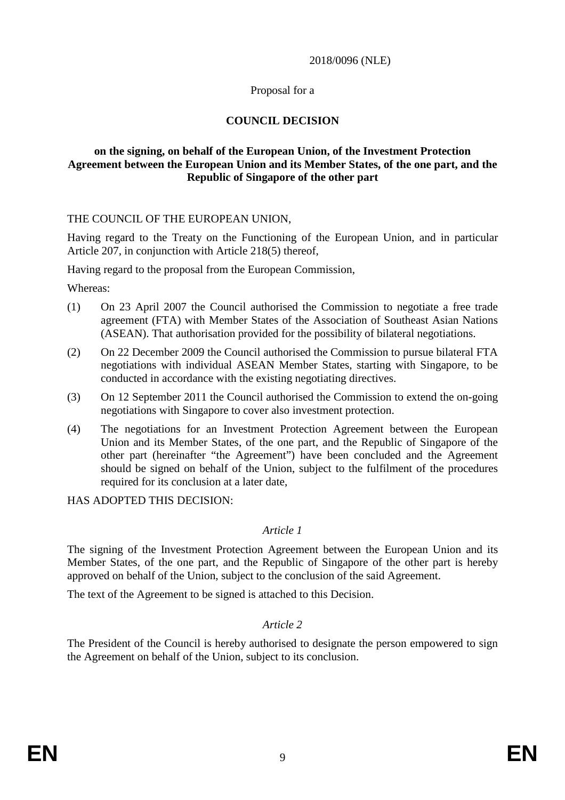#### 2018/0096 (NLE)

#### Proposal for a

### **COUNCIL DECISION**

#### **on the signing, on behalf of the European Union, of the Investment Protection Agreement between the European Union and its Member States, of the one part, and the Republic of Singapore of the other part**

#### THE COUNCIL OF THE EUROPEAN UNION,

Having regard to the Treaty on the Functioning of the European Union, and in particular Article 207, in conjunction with Article 218(5) thereof,

Having regard to the proposal from the European Commission,

Whereas:

- (1) On 23 April 2007 the Council authorised the Commission to negotiate a free trade agreement (FTA) with Member States of the Association of Southeast Asian Nations (ASEAN). That authorisation provided for the possibility of bilateral negotiations.
- (2) On 22 December 2009 the Council authorised the Commission to pursue bilateral FTA negotiations with individual ASEAN Member States, starting with Singapore, to be conducted in accordance with the existing negotiating directives.
- (3) On 12 September 2011 the Council authorised the Commission to extend the on-going negotiations with Singapore to cover also investment protection.
- (4) The negotiations for an Investment Protection Agreement between the European Union and its Member States, of the one part, and the Republic of Singapore of the other part (hereinafter "the Agreement") have been concluded and the Agreement should be signed on behalf of the Union, subject to the fulfilment of the procedures required for its conclusion at a later date,

HAS ADOPTED THIS DECISION:

#### *Article 1*

The signing of the Investment Protection Agreement between the European Union and its Member States, of the one part, and the Republic of Singapore of the other part is hereby approved on behalf of the Union, subject to the conclusion of the said Agreement.

The text of the Agreement to be signed is attached to this Decision.

#### *Article 2*

The President of the Council is hereby authorised to designate the person empowered to sign the Agreement on behalf of the Union, subject to its conclusion.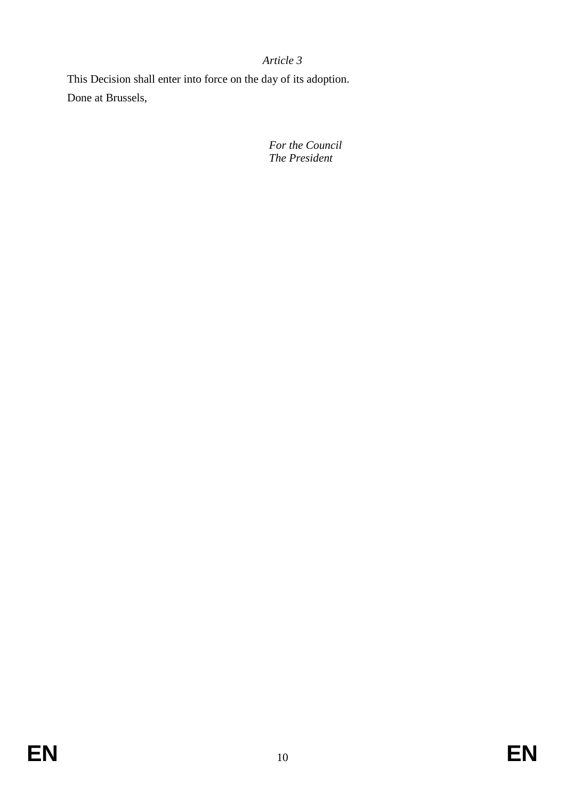# *Article 3*

This Decision shall enter into force on the day of its adoption. Done at Brussels,

> *For the Council The President*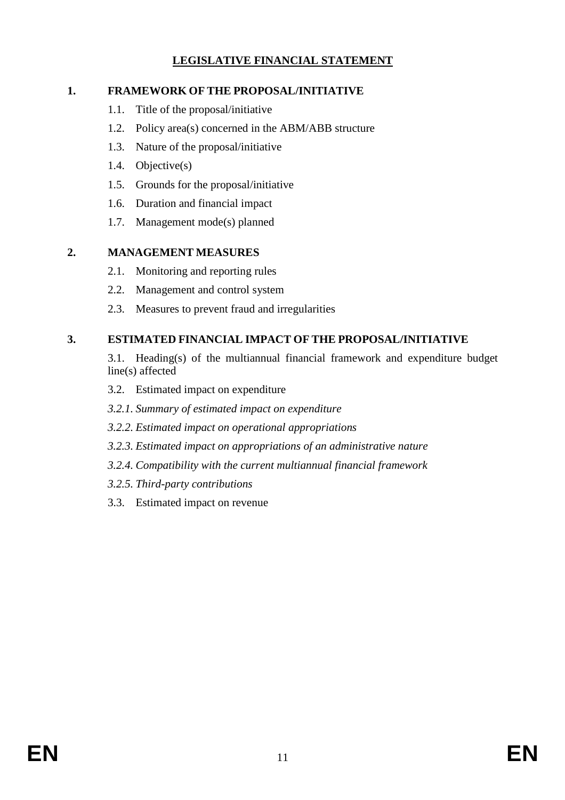# **LEGISLATIVE FINANCIAL STATEMENT**

## **1. FRAMEWORK OF THE PROPOSAL/INITIATIVE**

- 1.1. Title of the proposal/initiative
- 1.2. Policy area(s) concerned in the ABM/ABB structure
- 1.3. Nature of the proposal/initiative
- 1.4. Objective(s)
- 1.5. Grounds for the proposal/initiative
- 1.6. Duration and financial impact
- 1.7. Management mode(s) planned

## **2. MANAGEMENT MEASURES**

- 2.1. Monitoring and reporting rules
- 2.2. Management and control system
- 2.3. Measures to prevent fraud and irregularities

# **3. ESTIMATED FINANCIAL IMPACT OF THE PROPOSAL/INITIATIVE**

- 3.1. Heading(s) of the multiannual financial framework and expenditure budget line(s) affected
- 3.2. Estimated impact on expenditure
- *3.2.1. Summary of estimated impact on expenditure*
- *3.2.2. Estimated impact on operational appropriations*
- *3.2.3. Estimated impact on appropriations of an administrative nature*
- *3.2.4. Compatibility with the current multiannual financial framework*
- *3.2.5. Third-party contributions*
- 3.3. Estimated impact on revenue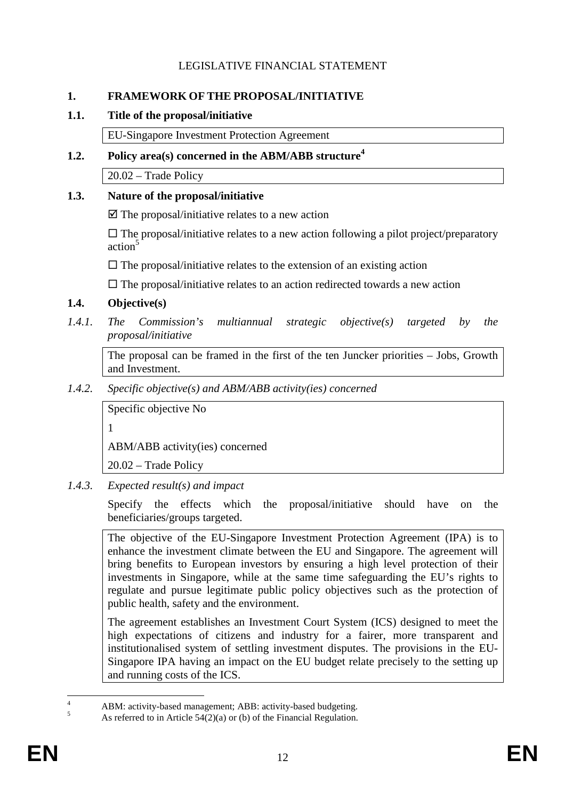## LEGISLATIVE FINANCIAL STATEMENT

### **1. FRAMEWORK OF THE PROPOSAL/INITIATIVE**

### **1.1. Title of the proposal/initiative**

EU-Singapore Investment Protection Agreement

### **1.2. Policy area(s) concerned in the ABM/ABB structure<sup>4</sup>**

20.02 – Trade Policy

### **1.3. Nature of the proposal/initiative**

 $\boxtimes$  The proposal/initiative relates to a new action

- The proposal/initiative relates to a new action following a pilot project/preparatory action<sup>5</sup>

- The proposal/initiative relates to the extension of an existing action

□ The proposal/initiative relates to an action redirected towards a new action

### **1.4. Objective(s)**

*1.4.1. The Commission's multiannual strategic objective(s) targeted by the proposal/initiative* 

The proposal can be framed in the first of the ten Juncker priorities – Jobs, Growth and Investment.

*1.4.2. Specific objective(s) and ABM/ABB activity(ies) concerned* 

Specific objective No

1

ABM/ABB activity(ies) concerned

20.02 – Trade Policy

*1.4.3. Expected result(s) and impact* 

Specify the effects which the proposal/initiative should have on the beneficiaries/groups targeted.

The objective of the EU-Singapore Investment Protection Agreement (IPA) is to enhance the investment climate between the EU and Singapore. The agreement will bring benefits to European investors by ensuring a high level protection of their investments in Singapore, while at the same time safeguarding the EU's rights to regulate and pursue legitimate public policy objectives such as the protection of public health, safety and the environment.

The agreement establishes an Investment Court System (ICS) designed to meet the high expectations of citizens and industry for a fairer, more transparent and institutionalised system of settling investment disputes. The provisions in the EU-Singapore IPA having an impact on the EU budget relate precisely to the setting up and running costs of the ICS.

 $\frac{1}{4}$  ABM: activity-based management; ABB: activity-based budgeting. 5

As referred to in Article 54(2)(a) or (b) of the Financial Regulation.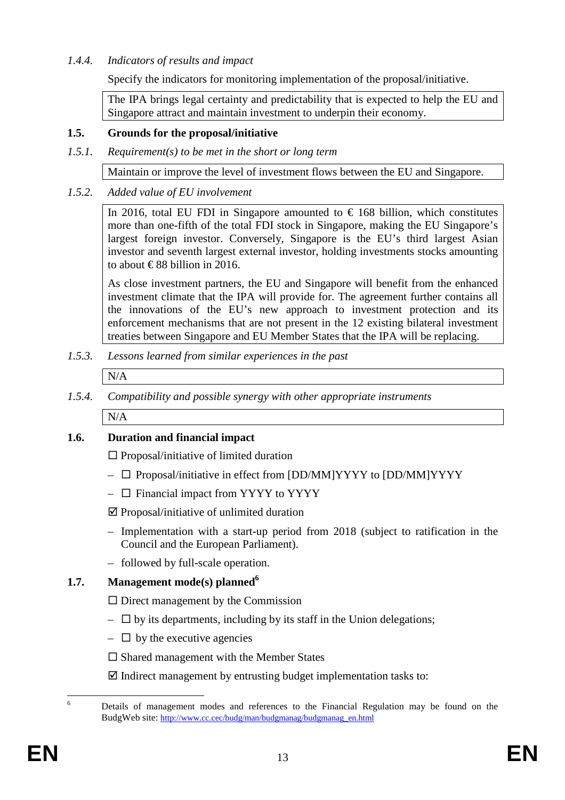### *1.4.4. Indicators of results and impact*

Specify the indicators for monitoring implementation of the proposal/initiative.

The IPA brings legal certainty and predictability that is expected to help the EU and Singapore attract and maintain investment to underpin their economy.

### **1.5. Grounds for the proposal/initiative**

*1.5.1. Requirement(s) to be met in the short or long term* 

Maintain or improve the level of investment flows between the EU and Singapore.

### *1.5.2. Added value of EU involvement*

In 2016, total EU FDI in Singapore amounted to  $\epsilon$  168 billion, which constitutes more than one-fifth of the total FDI stock in Singapore, making the EU Singapore's largest foreign investor. Conversely, Singapore is the EU's third largest Asian investor and seventh largest external investor, holding investments stocks amounting to about  $\in$  88 billion in 2016.

As close investment partners, the EU and Singapore will benefit from the enhanced investment climate that the IPA will provide for. The agreement further contains all the innovations of the EU's new approach to investment protection and its enforcement mechanisms that are not present in the 12 existing bilateral investment treaties between Singapore and EU Member States that the IPA will be replacing.

*1.5.3. Lessons learned from similar experiences in the past* 

N/A

*1.5.4. Compatibility and possible synergy with other appropriate instruments* 

N/A

### **1.6. Duration and financial impact**

□ Proposal/initiative of limited duration

- □ Proposal/initiative in effect from [DD/MM]YYYY to [DD/MM]YYYY
- $\Box$  Financial impact from YYYY to YYYY
- $\boxtimes$  Proposal/initiative of unlimited duration
- Implementation with a start-up period from 2018 (subject to ratification in the Council and the European Parliament).
- followed by full-scale operation.

## **1.7. Management mode(s) planned<sup>6</sup>**

□ Direct management by the Commission

- $\Box$  by its departments, including by its staff in the Union delegations;
- $\Box$  by the executive agencies
- □ Shared management with the Member States
- $\boxtimes$  Indirect management by entrusting budget implementation tasks to:

 6 Details of management modes and references to the Financial Regulation may be found on the BudgWeb site: http://www.cc.cec/budg/man/budgmanag/budgmanag\_en.html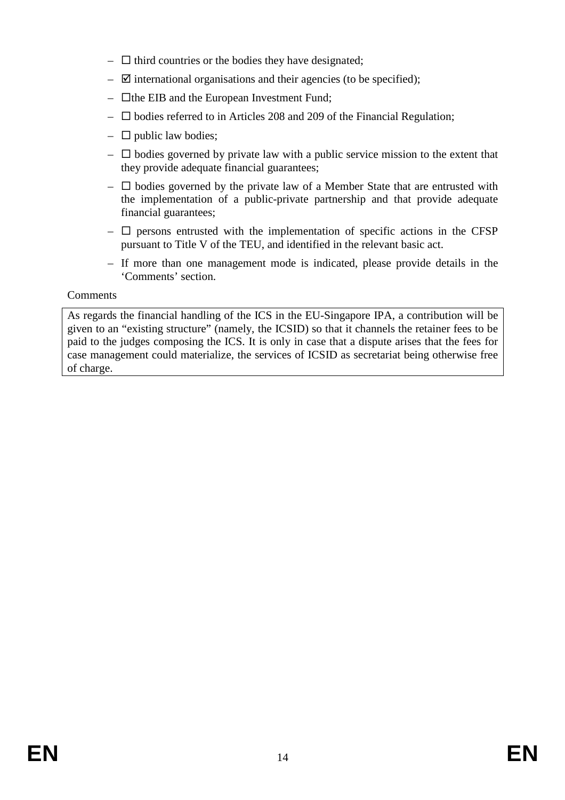- $\Box$  third countries or the bodies they have designated;
- $\overline{\mathcal{A}}$  international organisations and their agencies (to be specified);
- $\Box$  the EIB and the European Investment Fund;
- $\Box$  bodies referred to in Articles 208 and 209 of the Financial Regulation;
- $\Box$  public law bodies;
- $\Box$  bodies governed by private law with a public service mission to the extent that they provide adequate financial guarantees;
- $\Box$  bodies governed by the private law of a Member State that are entrusted with the implementation of a public-private partnership and that provide adequate financial guarantees;
- $\Box$  persons entrusted with the implementation of specific actions in the CFSP pursuant to Title V of the TEU, and identified in the relevant basic act.
- If more than one management mode is indicated, please provide details in the 'Comments' section.

### Comments

As regards the financial handling of the ICS in the EU-Singapore IPA, a contribution will be given to an "existing structure" (namely, the ICSID) so that it channels the retainer fees to be paid to the judges composing the ICS. It is only in case that a dispute arises that the fees for case management could materialize, the services of ICSID as secretariat being otherwise free of charge.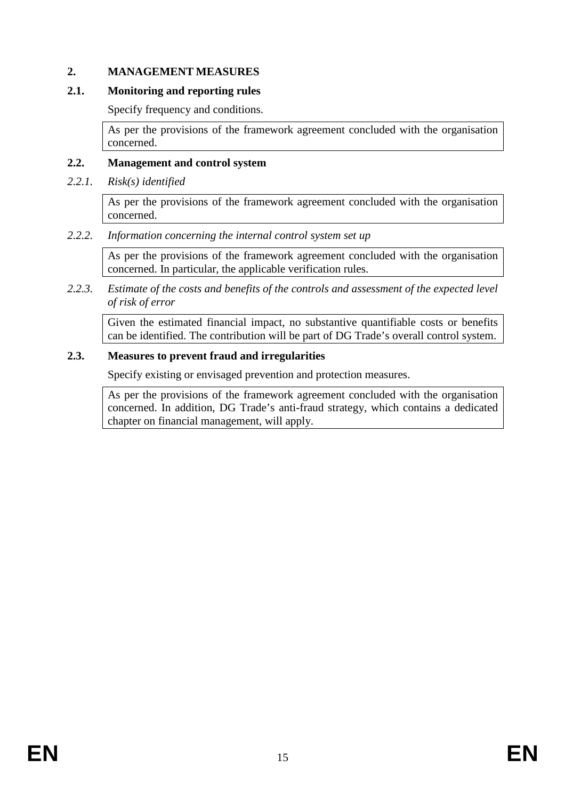### **2. MANAGEMENT MEASURES**

### **2.1. Monitoring and reporting rules**

Specify frequency and conditions.

As per the provisions of the framework agreement concluded with the organisation concerned.

# **2.2. Management and control system**

*2.2.1. Risk(s) identified* 

As per the provisions of the framework agreement concluded with the organisation concerned.

## *2.2.2. Information concerning the internal control system set up*

As per the provisions of the framework agreement concluded with the organisation concerned. In particular, the applicable verification rules.

*2.2.3. Estimate of the costs and benefits of the controls and assessment of the expected level of risk of error* 

Given the estimated financial impact, no substantive quantifiable costs or benefits can be identified. The contribution will be part of DG Trade's overall control system.

## **2.3. Measures to prevent fraud and irregularities**

Specify existing or envisaged prevention and protection measures.

As per the provisions of the framework agreement concluded with the organisation concerned. In addition, DG Trade's anti-fraud strategy, which contains a dedicated chapter on financial management, will apply.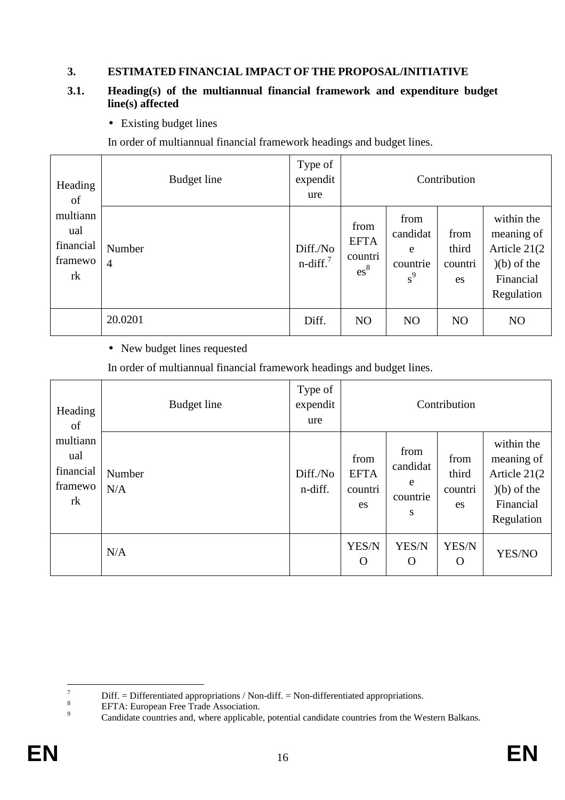## **3. ESTIMATED FINANCIAL IMPACT OF THE PROPOSAL/INITIATIVE**

### **3.1. Heading(s) of the multiannual financial framework and expenditure budget line(s) affected**

• Existing budget lines

In order of multiannual financial framework headings and budget lines.

| Heading<br>of                                 | Budget line              | Type of<br>expendit<br>ure          |                                                 |                                            | Contribution                   |                                                                                      |
|-----------------------------------------------|--------------------------|-------------------------------------|-------------------------------------------------|--------------------------------------------|--------------------------------|--------------------------------------------------------------------------------------|
| multiann<br>ual<br>financial<br>framewo<br>rk | Number<br>$\overline{4}$ | Diff./No<br>$n$ -diff. <sup>7</sup> | from<br><b>EFTA</b><br>countri<br>$\text{es}^8$ | from<br>candidat<br>e<br>countrie<br>$s^9$ | from<br>third<br>countri<br>es | within the<br>meaning of<br>Article 21(2)<br>$(b)$ of the<br>Financial<br>Regulation |
|                                               | 20.0201                  | Diff.                               | N <sub>O</sub>                                  | N <sub>O</sub>                             | N <sub>O</sub>                 | N <sub>O</sub>                                                                       |

## • New budget lines requested

In order of multiannual financial framework headings and budget lines.

| Heading<br>of                                 | Budget line   | Type of<br>expendit<br>ure |                                      |                                        | Contribution                   |                                                                                      |
|-----------------------------------------------|---------------|----------------------------|--------------------------------------|----------------------------------------|--------------------------------|--------------------------------------------------------------------------------------|
| multiann<br>ual<br>financial<br>framewo<br>rk | Number<br>N/A | Diff./No<br>n-diff.        | from<br><b>EFTA</b><br>countri<br>es | from<br>candidat<br>e<br>countrie<br>S | from<br>third<br>countri<br>es | within the<br>meaning of<br>Article 21(2)<br>$(b)$ of the<br>Financial<br>Regulation |
|                                               | N/A           |                            | YES/N<br>$\mathbf O$                 | YES/N<br>$\Omega$                      | YES/N<br>$\Omega$              | YES/NO                                                                               |

<sup>-&</sup>lt;br>7 Diff. = Differentiated appropriations / Non-diff. = Non-differentiated appropriations.

<sup>8</sup> EFTA: European Free Trade Association. 9

Candidate countries and, where applicable, potential candidate countries from the Western Balkans.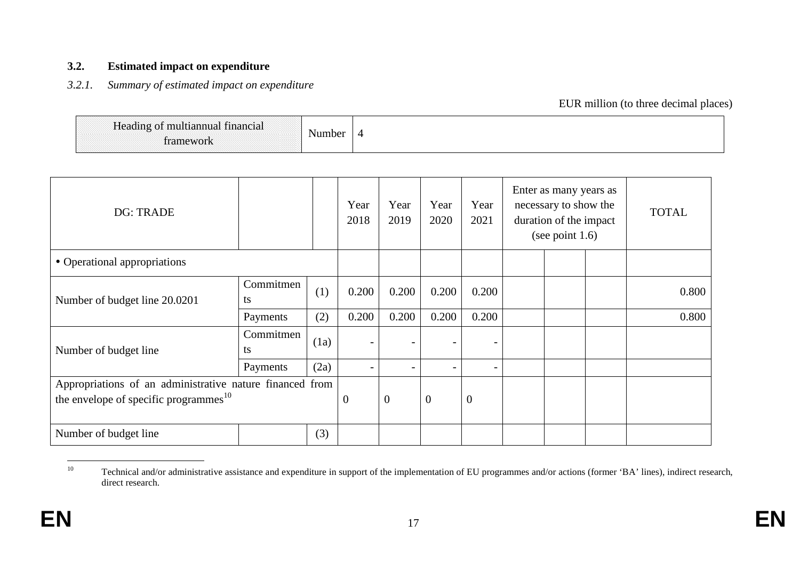#### **3.2. Estimated impact on expenditure**

### *3.2.1. Summary of estimated impact on expenditure*

EUR million (to three decimal places)

|--|

| <b>DG: TRADE</b>                                                                                        |                 |                | Year<br>2018   | Year<br>2019    | Year<br>2020   | Year<br>2021 | Enter as many years as<br>necessary to show the<br>duration of the impact<br>(see point $1.6$ ) |  | <b>TOTAL</b> |
|---------------------------------------------------------------------------------------------------------|-----------------|----------------|----------------|-----------------|----------------|--------------|-------------------------------------------------------------------------------------------------|--|--------------|
| • Operational appropriations                                                                            |                 |                |                |                 |                |              |                                                                                                 |  |              |
| Number of budget line 20.0201                                                                           | Commitmen<br>ts | (1)            | 0.200          | 0.200           | 0.200          | 0.200        |                                                                                                 |  | 0.800        |
|                                                                                                         | Payments        | (2)            | 0.200          | 0.200           | 0.200          | 0.200        |                                                                                                 |  | 0.800        |
| Number of budget line                                                                                   | Commitmen<br>ts | (1a)           |                | $\qquad \qquad$ |                |              |                                                                                                 |  |              |
|                                                                                                         | Payments        | (2a)           |                |                 |                |              |                                                                                                 |  |              |
| Appropriations of an administrative nature financed from<br>the envelope of specific programmes $^{10}$ |                 | $\overline{0}$ | $\overline{0}$ | $\overline{0}$  | $\overline{0}$ |              |                                                                                                 |  |              |
| Number of budget line                                                                                   |                 | (3)            |                |                 |                |              |                                                                                                 |  |              |

 $10$  Technical and/or administrative assistance and expenditure in support of the implementation of EU programmes and/or actions (former 'BA' lines), indirect research, direct research.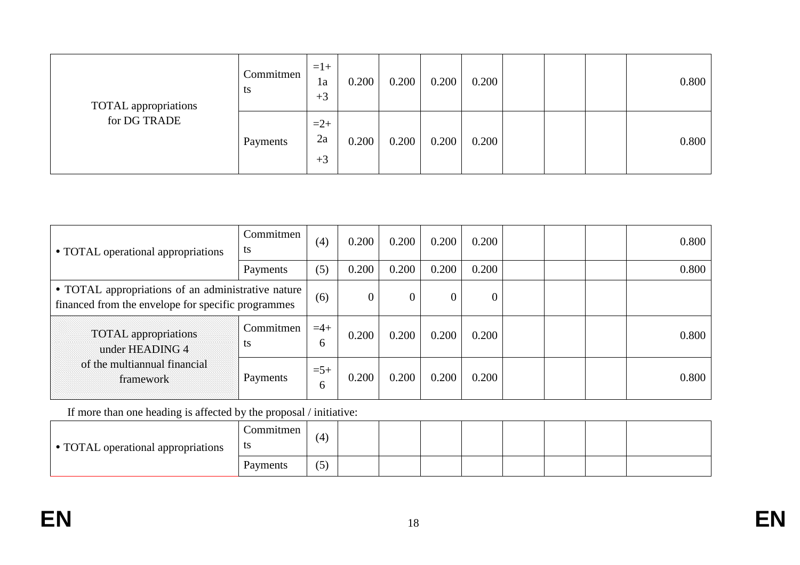| TOTAL appropriations | Commitmen<br>ts | $=1+$<br>1a<br>$+3$ | 0.200 | 0.200 | 0.200 | 0.200 |  | 0.800 |
|----------------------|-----------------|---------------------|-------|-------|-------|-------|--|-------|
| for DG TRADE         | Payments        | $=2+$<br>2a<br>$+3$ | 0.200 | 0.200 | 0.200 | 0.200 |  | 0.800 |

| • TOTAL operational appropriations                                                                       | Commitmen<br>ts | (4)         | 0.200          | 0.200            | 0.200 | 0.200 |  | 0.800 |
|----------------------------------------------------------------------------------------------------------|-----------------|-------------|----------------|------------------|-------|-------|--|-------|
|                                                                                                          | Payments        | (5)         | 0.200          | 0.200            | 0.200 | 0.200 |  | 0.800 |
| • TOTAL appropriations of an administrative nature<br>financed from the envelope for specific programmes |                 | (6)         | $\overline{0}$ | $\boldsymbol{0}$ | O     | 0     |  |       |
| <b>TOTAL</b> appropriations<br>under HEADING 4                                                           | Commitmen<br>ts | $=4+$<br>6  | 0.200          | 0.200            | 0.200 | 0.200 |  | 0.800 |
| of the multiannual financial<br>framework                                                                | Payments        | $=$ 5+<br>6 | 0.200          | 0.200            | 0.200 | 0.200 |  | 0.800 |

If more than one heading is affected by the proposal / initiative:

| • TOTAL operational appropriations | <b>Commitmen</b><br>ts | (4)       |  |  |  |  |
|------------------------------------|------------------------|-----------|--|--|--|--|
|                                    | Payments               | ∕ <`<br>C |  |  |  |  |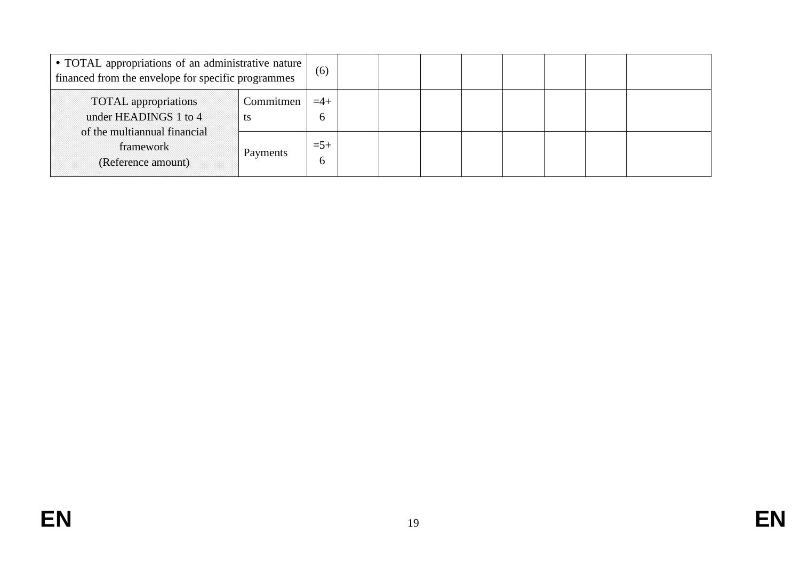| • TOTAL appropriations of an administrative nature<br>financed from the envelope for specific programmes |                 | (6)                |  |  |  |  |
|----------------------------------------------------------------------------------------------------------|-----------------|--------------------|--|--|--|--|
| <b>TOTAL</b> appropriations<br>under HEADINGS 1 to 4                                                     | Commitmen<br>ts | $=4+$<br>O         |  |  |  |  |
| of the multiannual financial<br>framework<br>(Reference amount)                                          | Payments        | $=$ 5+<br>$\sigma$ |  |  |  |  |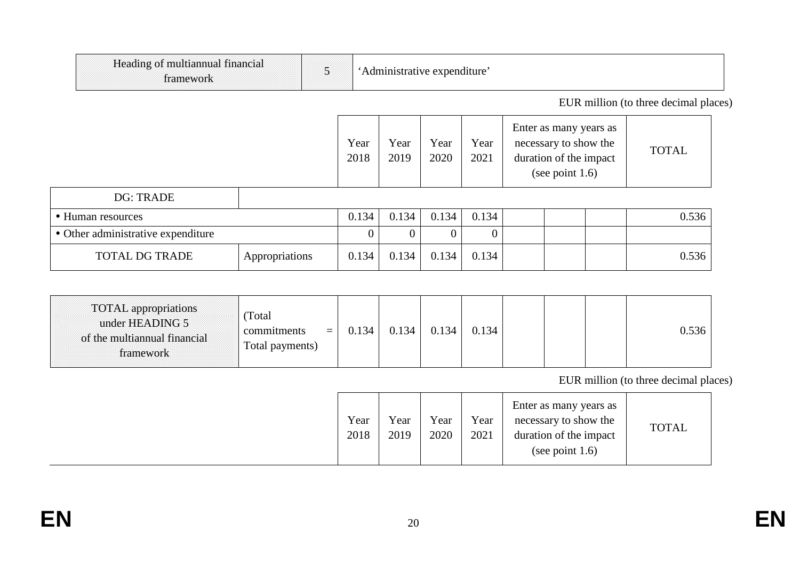| Heading of multiannual financial<br>framework | 5.             |                                       | 'Administrative expenditure' |              |              |  |                                                                                                 |              |  |  |  |  |  |  |
|-----------------------------------------------|----------------|---------------------------------------|------------------------------|--------------|--------------|--|-------------------------------------------------------------------------------------------------|--------------|--|--|--|--|--|--|
|                                               |                | EUR million (to three decimal places) |                              |              |              |  |                                                                                                 |              |  |  |  |  |  |  |
|                                               |                | Year<br>2018                          | Year<br>2019                 | Year<br>2020 | Year<br>2021 |  | Enter as many years as<br>necessary to show the<br>duration of the impact<br>(see point $1.6$ ) | <b>TOTAL</b> |  |  |  |  |  |  |
| <b>DG: TRADE</b>                              |                |                                       |                              |              |              |  |                                                                                                 |              |  |  |  |  |  |  |
| • Human resources                             |                | 0.134                                 | 0.134                        | 0.134        | 0.134        |  |                                                                                                 | 0.536        |  |  |  |  |  |  |
| • Other administrative expenditure            |                | $\overline{0}$                        | $\Omega$                     | $\Omega$     | $\theta$     |  |                                                                                                 |              |  |  |  |  |  |  |
| <b>TOTAL DG TRADE</b>                         | Appropriations | 0.134                                 | 0.134                        | 0.134        | 0.134        |  |                                                                                                 | 0.536        |  |  |  |  |  |  |

| <b>TOTAL</b> appropriations<br>under HEADING 5<br>of the multiannual financial<br>tramework | Fotal<br>commitments<br>$=$<br>Total payments) | 0.134 | 0.134 | 0.134 | 0.134 |  |  |  | 0.536 |
|---------------------------------------------------------------------------------------------|------------------------------------------------|-------|-------|-------|-------|--|--|--|-------|
|---------------------------------------------------------------------------------------------|------------------------------------------------|-------|-------|-------|-------|--|--|--|-------|

EUR million (to three decimal places)

|  | Year<br>2018 | Year<br>2019 | Year<br>2020 | Year<br>2021 | Enter as many years as<br>necessary to show the<br>duration of the impact<br>(see point $1.6$ ) | <b>TOTAL</b> |
|--|--------------|--------------|--------------|--------------|-------------------------------------------------------------------------------------------------|--------------|
|--|--------------|--------------|--------------|--------------|-------------------------------------------------------------------------------------------------|--------------|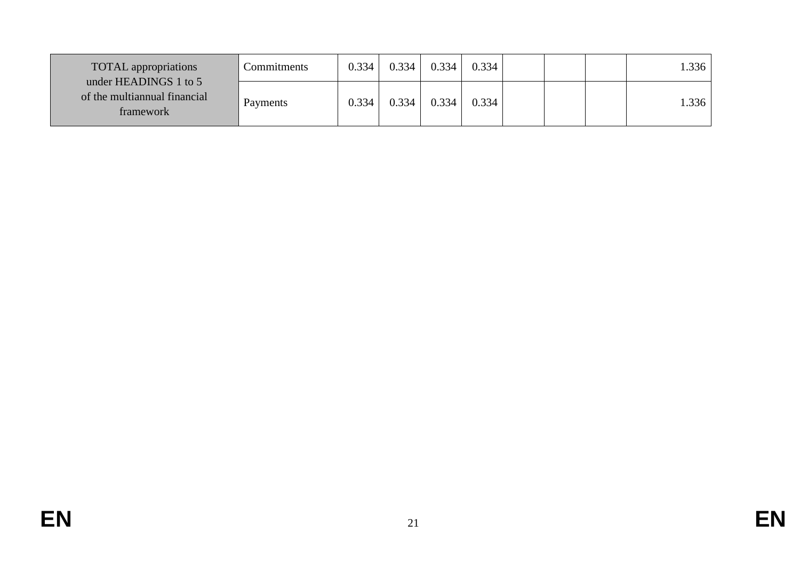| <b>TOTAL</b> appropriations<br>under HEADINGS 1 to 5 | Commitments | 0.334 | 0.334 | 0.334 | 0.334 |  | 1.336 |
|------------------------------------------------------|-------------|-------|-------|-------|-------|--|-------|
| of the multiannual financial<br>framework            | Payments    | 0.334 | 0.334 | 0.334 | 0.334 |  | 1.336 |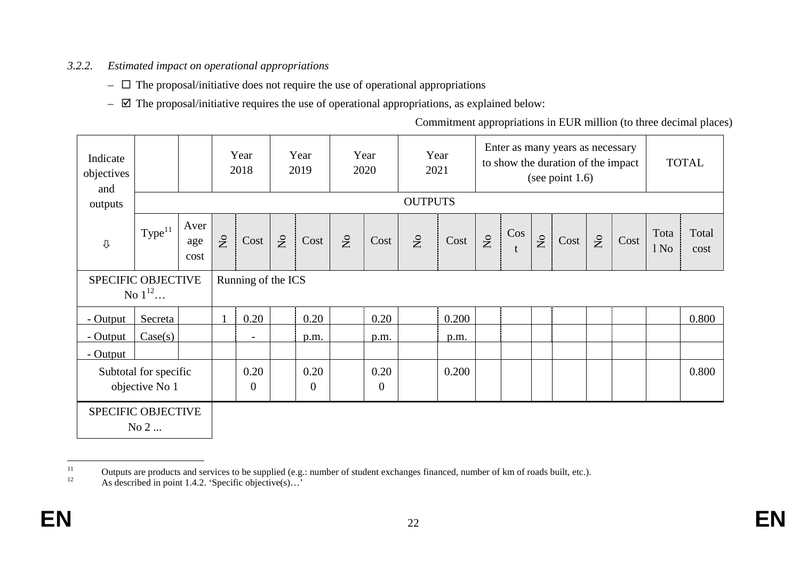## *3.2.2. Estimated impact on operational appropriations*

- $\Box$  The proposal/initiative does not require the use of operational appropriations  $\Box$  The proposal/initiative requires the use of operational appropriations as expli
- $\Box$  The proposal/initiative requires the use of operational appropriations, as explained below:

Commitment appropriations in EUR million (to three decimal places)

| Indicate<br>objectives<br>and           |                    |                     |          | Year<br>2018             |              | Year<br>2019           |          | Year<br>2020           |                | Year<br>2021 | Enter as many years as necessary<br>to show the duration of the impact<br>(see point $1.6$ ) |     |              |      |              |      | <b>TOTAL</b>             |               |
|-----------------------------------------|--------------------|---------------------|----------|--------------------------|--------------|------------------------|----------|------------------------|----------------|--------------|----------------------------------------------------------------------------------------------|-----|--------------|------|--------------|------|--------------------------|---------------|
| outputs                                 |                    |                     |          |                          |              |                        |          |                        | <b>OUTPUTS</b> |              |                                                                                              |     |              |      |              |      |                          |               |
| $\overline{\psi}$                       | Type <sup>11</sup> | Aver<br>age<br>cost | $\Sigma$ | Cost                     | $\rm \Sigma$ | Cost                   | $\Sigma$ | Cost                   | $\mathsf{S}$   | Cost         | $\mathsf{S}^{\mathsf{O}}$                                                                    | Cos | $\rm \Sigma$ | Cost | $\rm \Sigma$ | Cost | Tota<br>1 N <sub>0</sub> | Total<br>cost |
| SPECIFIC OBJECTIVE<br>No $1^{12}$       |                    |                     |          | Running of the ICS       |              |                        |          |                        |                |              |                                                                                              |     |              |      |              |      |                          |               |
| - Output                                | Secreta            |                     |          | 0.20                     |              | 0.20                   |          | 0.20                   |                | 0.200        |                                                                                              |     |              |      |              |      |                          | 0.800         |
| - Output                                | Case(s)            |                     |          | $\overline{\phantom{a}}$ |              | p.m.                   |          | p.m.                   |                | p.m.         |                                                                                              |     |              |      |              |      |                          |               |
| - Output                                |                    |                     |          |                          |              |                        |          |                        |                |              |                                                                                              |     |              |      |              |      |                          |               |
| Subtotal for specific<br>objective No 1 |                    |                     |          | 0.20<br>$\boldsymbol{0}$ |              | 0.20<br>$\overline{0}$ |          | 0.20<br>$\overline{0}$ |                | 0.200        |                                                                                              |     |              |      |              |      |                          | 0.800         |
| <b>SPECIFIC OBJECTIVE</b>               | No 2               |                     |          |                          |              |                        |          |                        |                |              |                                                                                              |     |              |      |              |      |                          |               |

<sup>11</sup> Outputs are products and services to be supplied (e.g.: number of student exchanges financed, number of km of roads built, etc.).

As described in point 1.4.2. 'Specific objective $(s)$ ...'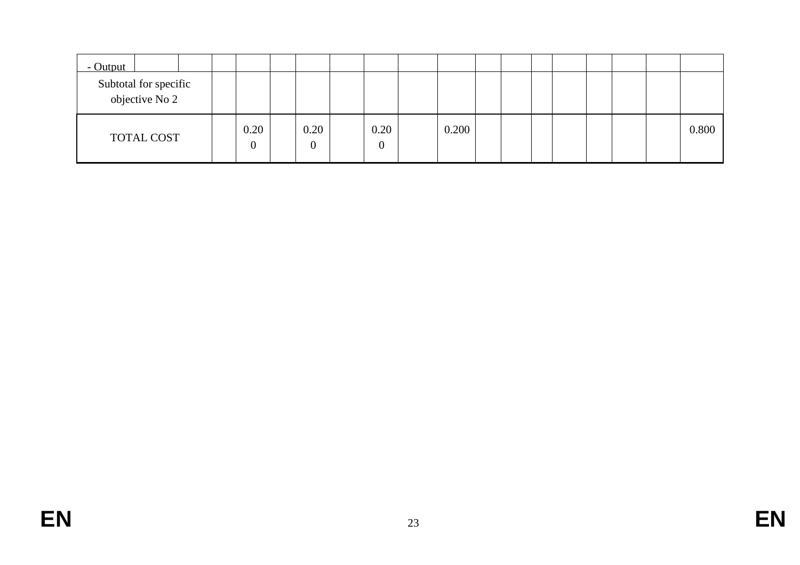| Subtotal for specific<br>objective No 2 |                          |                          |                          |       |  |  |  |       |  |
|-----------------------------------------|--------------------------|--------------------------|--------------------------|-------|--|--|--|-------|--|
| TOTAL COST                              | 0.20<br>$\boldsymbol{0}$ | 0.20<br>$\boldsymbol{0}$ | 0.20<br>$\boldsymbol{0}$ | 0.200 |  |  |  | 0.800 |  |
|                                         |                          |                          |                          |       |  |  |  |       |  |
|                                         |                          |                          |                          |       |  |  |  |       |  |
|                                         |                          |                          |                          |       |  |  |  |       |  |
|                                         |                          |                          |                          |       |  |  |  |       |  |
|                                         |                          |                          |                          |       |  |  |  |       |  |
|                                         |                          |                          |                          |       |  |  |  |       |  |
|                                         |                          |                          |                          |       |  |  |  |       |  |
|                                         |                          |                          |                          |       |  |  |  |       |  |
|                                         |                          |                          |                          |       |  |  |  |       |  |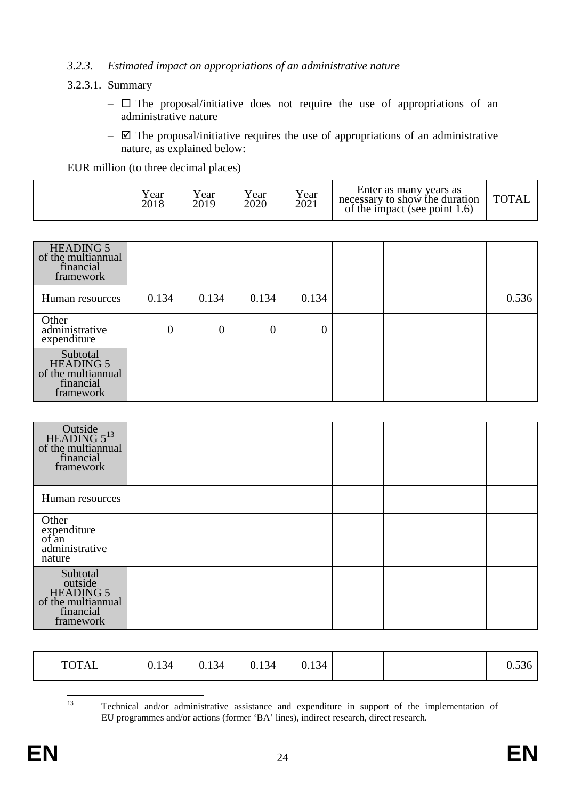### *3.2.3. Estimated impact on appropriations of an administrative nature*

### 3.2.3.1. Summary

- $\Box$  The proposal/initiative does not require the use of appropriations of an administrative nature
- $\boxtimes$  The proposal/initiative requires the use of appropriations of an administrative nature, as explained below:

EUR million (to three decimal places)

| cear ⁄<br>2018 | ⁄ ear<br>2019 | Year<br>2020 | Year<br>2021 | Enter as many years as<br>necessary to show the duration<br>of the impact (see point $1.6$ ) | <b>TOTAL</b> |
|----------------|---------------|--------------|--------------|----------------------------------------------------------------------------------------------|--------------|
|----------------|---------------|--------------|--------------|----------------------------------------------------------------------------------------------|--------------|

| <b>HEADING 5</b><br>of the multiannual<br>financial<br>framework             |       |       |       |                |  |       |
|------------------------------------------------------------------------------|-------|-------|-------|----------------|--|-------|
| Human resources                                                              | 0.134 | 0.134 | 0.134 | 0.134          |  | 0.536 |
| Other<br>administrative<br>expenditure                                       | 0     | 0     | 0     | $\overline{0}$ |  |       |
| Subtotal<br><b>HEADING 5</b><br>of the multiannual<br>financial<br>framework |       |       |       |                |  |       |

| Outside<br>HEADING $5^{13}$<br>of the multiannual<br>financial<br>framework             |  |  |  |  |
|-----------------------------------------------------------------------------------------|--|--|--|--|
| Human resources                                                                         |  |  |  |  |
| Other<br>expenditure<br>of an<br>administrative<br>nature                               |  |  |  |  |
| Subtotal<br>outside<br><b>HEADING 5</b><br>of the multiannual<br>financial<br>framework |  |  |  |  |

| <b>TOTAL</b> | 0.134 | 0.134 | 0.134 | 0.134 |  |  |  | $\sim$ |
|--------------|-------|-------|-------|-------|--|--|--|--------|
|--------------|-------|-------|-------|-------|--|--|--|--------|

 $13$ 

<sup>13</sup> Technical and/or administrative assistance and expenditure in support of the implementation of EU programmes and/or actions (former 'BA' lines), indirect research, direct research.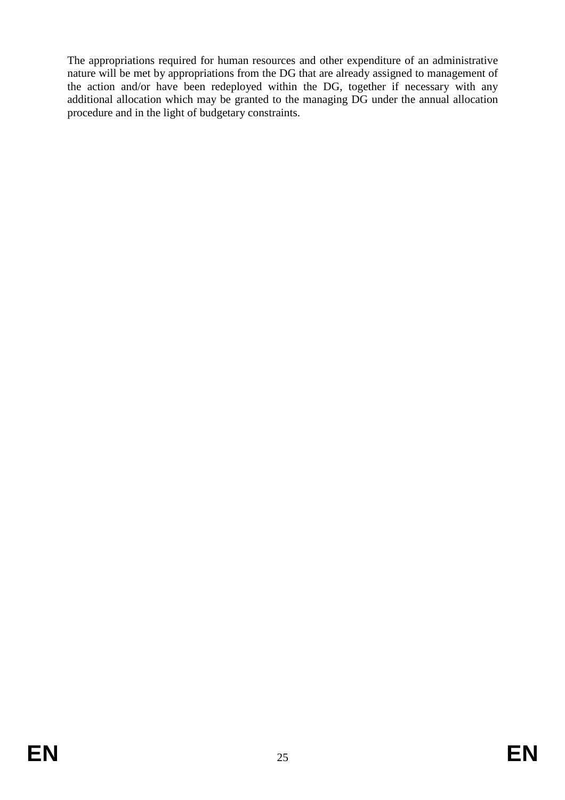The appropriations required for human resources and other expenditure of an administrative nature will be met by appropriations from the DG that are already assigned to management of the action and/or have been redeployed within the DG, together if necessary with any additional allocation which may be granted to the managing DG under the annual allocation procedure and in the light of budgetary constraints.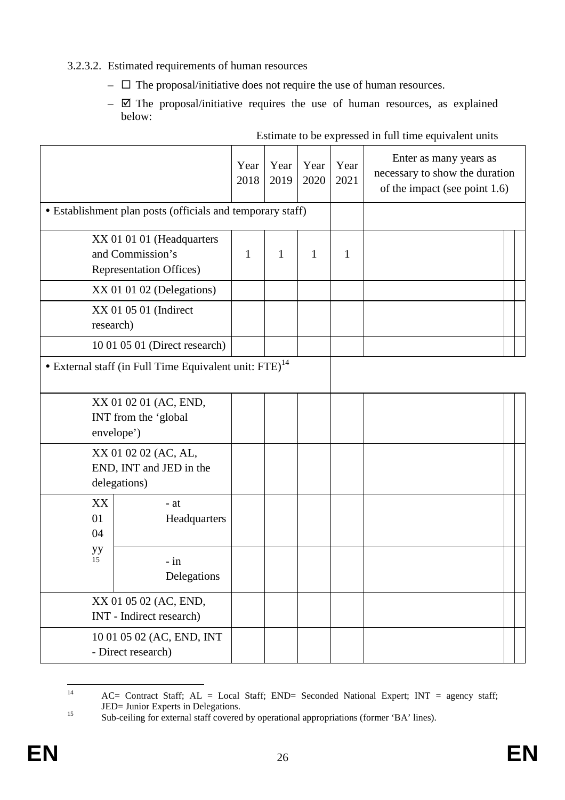## 3.2.3.2. Estimated requirements of human resources

- $\Box$  The proposal/initiative does not require the use of human resources.
- $\boxtimes$  The proposal/initiative requires the use of human resources, as explained below:

|                        |                                                                                 | Year<br>2018 | Year<br>2019 | Year<br>2020 | Year<br>2021 | Enter as many years as<br>necessary to show the duration<br>of the impact (see point 1.6) |
|------------------------|---------------------------------------------------------------------------------|--------------|--------------|--------------|--------------|-------------------------------------------------------------------------------------------|
|                        | • Establishment plan posts (officials and temporary staff)                      |              |              |              |              |                                                                                           |
|                        | XX 01 01 01 (Headquarters<br>and Commission's<br><b>Representation Offices)</b> | $\mathbf{1}$ | $\mathbf{1}$ | $\mathbf{1}$ | 1            |                                                                                           |
|                        | XX 01 01 02 (Delegations)                                                       |              |              |              |              |                                                                                           |
| research)              | XX 01 05 01 (Indirect                                                           |              |              |              |              |                                                                                           |
|                        | 10 01 05 01 (Direct research)                                                   |              |              |              |              |                                                                                           |
|                        | • External staff (in Full Time Equivalent unit: FTE) <sup>14</sup>              |              |              |              |              |                                                                                           |
|                        | XX 01 02 01 (AC, END,<br>INT from the 'global<br>envelope')                     |              |              |              |              |                                                                                           |
|                        | XX 01 02 02 (AC, AL,<br>END, INT and JED in the<br>delegations)                 |              |              |              |              |                                                                                           |
| XX<br>01<br>04         | - at<br>Headquarters                                                            |              |              |              |              |                                                                                           |
| $\frac{\text{yy}}{15}$ | $-$ in<br>Delegations                                                           |              |              |              |              |                                                                                           |
|                        | XX 01 05 02 (AC, END,<br>INT - Indirect research)                               |              |              |              |              |                                                                                           |
|                        | 10 01 05 02 (AC, END, INT<br>- Direct research)                                 |              |              |              |              |                                                                                           |

Estimate to be expressed in full time equivalent units

 $14$ AC= Contract Staff; AL = Local Staff; END= Seconded National Expert; INT = agency staff; JED= Junior Experts in Delegations.

<sup>&</sup>lt;sup>15</sup> Sub-ceiling for external staff covered by operational appropriations (former 'BA' lines).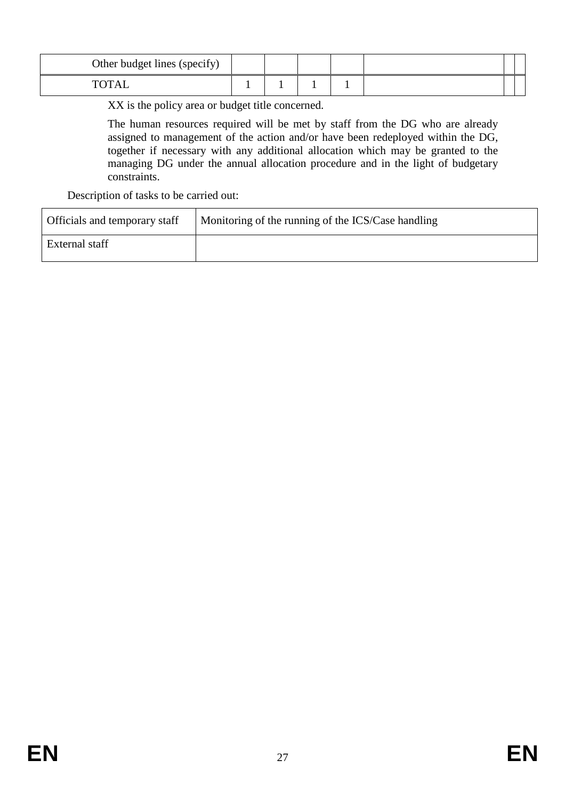| Other budget lines (specify) |  |  |  |  |
|------------------------------|--|--|--|--|
| $T\cap T$ $\wedge$ 1         |  |  |  |  |

XX is the policy area or budget title concerned.

The human resources required will be met by staff from the DG who are already assigned to management of the action and/or have been redeployed within the DG, together if necessary with any additional allocation which may be granted to the managing DG under the annual allocation procedure and in the light of budgetary constraints.

Description of tasks to be carried out:

| Officials and temporary staff | Monitoring of the running of the ICS/Case handling |
|-------------------------------|----------------------------------------------------|
| External staff                |                                                    |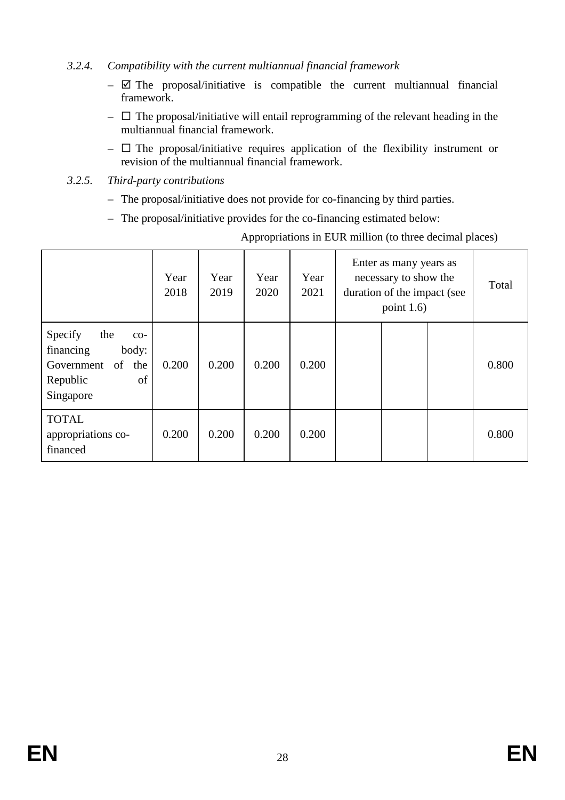- *3.2.4. Compatibility with the current multiannual financial framework* 
	- $\boxtimes$  The proposal/initiative is compatible the current multiannual financial framework.
	- $\Box$  The proposal/initiative will entail reprogramming of the relevant heading in the multiannual financial framework.
	- $\Box$  The proposal/initiative requires application of the flexibility instrument or revision of the multiannual financial framework.
- *3.2.5. Third-party contributions* 
	- The proposal/initiative does not provide for co-financing by third parties.
	- The proposal/initiative provides for the co-financing estimated below:

|                                                                                                         | Year<br>2018 | Year<br>2019 | Year<br>2020 | Year<br>2021 | Enter as many years as<br>necessary to show the<br>duration of the impact (see<br>point $1.6$ ) |  |  | Total |
|---------------------------------------------------------------------------------------------------------|--------------|--------------|--------------|--------------|-------------------------------------------------------------------------------------------------|--|--|-------|
| Specify<br>the<br>$CO-$<br>financing<br>body:<br>of<br>Government<br>the<br>of<br>Republic<br>Singapore | 0.200        | 0.200        | 0.200        | 0.200        |                                                                                                 |  |  | 0.800 |
| <b>TOTAL</b><br>appropriations co-<br>financed                                                          | 0.200        | 0.200        | 0.200        | 0.200        |                                                                                                 |  |  | 0.800 |

Appropriations in EUR million (to three decimal places)